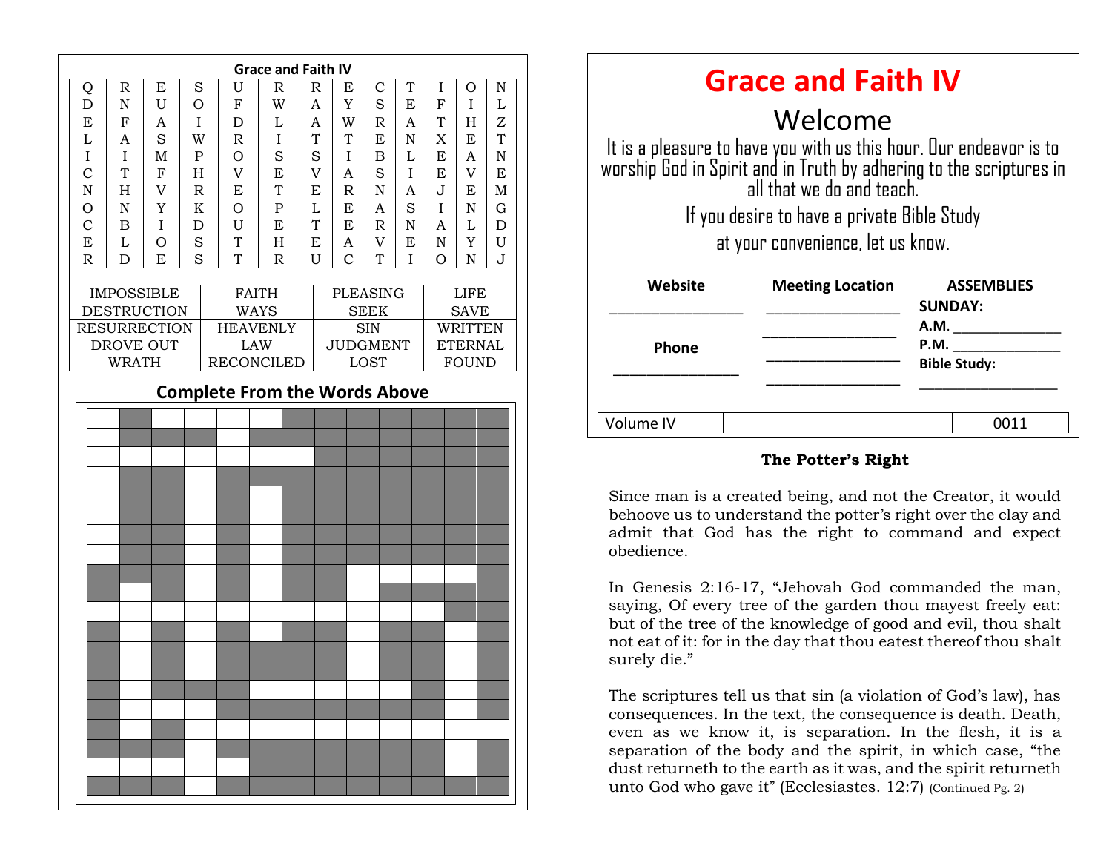

| <b>Grace and Faith IV</b>                                                                                                                                              |                         |                                     |
|------------------------------------------------------------------------------------------------------------------------------------------------------------------------|-------------------------|-------------------------------------|
| Welcome                                                                                                                                                                |                         |                                     |
| It is a pleasure to have you with us this hour. Our endeavor is to<br>worship God in Spirit and in Truth by adhering to the scriptures in<br>all that we do and teach. |                         |                                     |
| If you desire to have a private Bible Study                                                                                                                            |                         |                                     |
| at your convenience, let us know.                                                                                                                                      |                         |                                     |
| Website                                                                                                                                                                | <b>Meeting Location</b> | <b>ASSEMBLIES</b><br><b>SUNDAY:</b> |
|                                                                                                                                                                        |                         | A.M.                                |
| <b>Phone</b>                                                                                                                                                           |                         | P.M.                                |
|                                                                                                                                                                        |                         | <b>Bible Study:</b>                 |
|                                                                                                                                                                        |                         |                                     |
| Volume IV                                                                                                                                                              |                         |                                     |

#### **The Potter's Right**

obedience. Since man is a created being, and not the Creator, it would behoove us to understand the potter's right over the clay and admit that God has the right to command and expect

In Genesis 2:16-17, "Jehovah God commanded the man, saying, Of every tree of the garden thou mayest freely eat: but of the tree of the knowledge of good and evil, thou shalt not eat of it: for in the day that thou eatest thereof thou shalt surely die."

The scriptures tell us that sin (a violation of God's law), has consequences. In the text, the consequence is death. Death, even as we know it, is separation. In the flesh, it is a separation of the body and the spirit, in which case, "the dust returneth to the earth as it was, and the spirit returneth unto God who gave it" (Ecclesiastes. 12:7) (Continued Pg. 2)